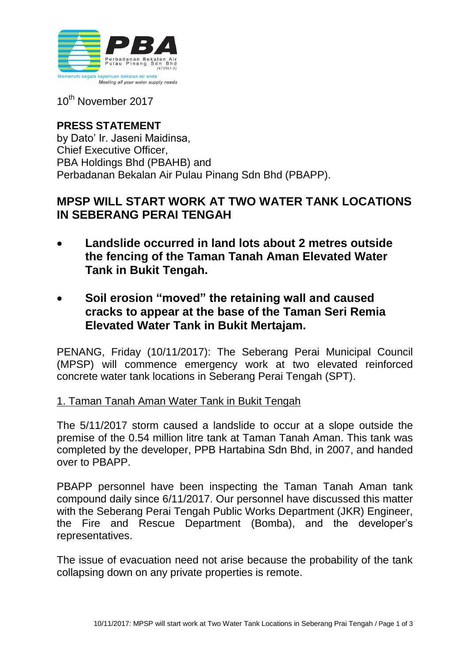

10<sup>th</sup> November 2017

### **PRESS STATEMENT** by Dato' Ir. Jaseni Maidinsa, Chief Executive Officer, PBA Holdings Bhd (PBAHB) and Perbadanan Bekalan Air Pulau Pinang Sdn Bhd (PBAPP).

# **MPSP WILL START WORK AT TWO WATER TANK LOCATIONS IN SEBERANG PERAI TENGAH**

- **Landslide occurred in land lots about 2 metres outside the fencing of the Taman Tanah Aman Elevated Water Tank in Bukit Tengah.**
- **Soil erosion "moved" the retaining wall and caused cracks to appear at the base of the Taman Seri Remia Elevated Water Tank in Bukit Mertajam.**

PENANG, Friday (10/11/2017): The Seberang Perai Municipal Council (MPSP) will commence emergency work at two elevated reinforced concrete water tank locations in Seberang Perai Tengah (SPT).

## 1. Taman Tanah Aman Water Tank in Bukit Tengah

The 5/11/2017 storm caused a landslide to occur at a slope outside the premise of the 0.54 million litre tank at Taman Tanah Aman. This tank was completed by the developer, PPB Hartabina Sdn Bhd, in 2007, and handed over to PBAPP.

PBAPP personnel have been inspecting the Taman Tanah Aman tank compound daily since 6/11/2017. Our personnel have discussed this matter with the Seberang Perai Tengah Public Works Department (JKR) Engineer, the Fire and Rescue Department (Bomba), and the developer's representatives.

The issue of evacuation need not arise because the probability of the tank collapsing down on any private properties is remote.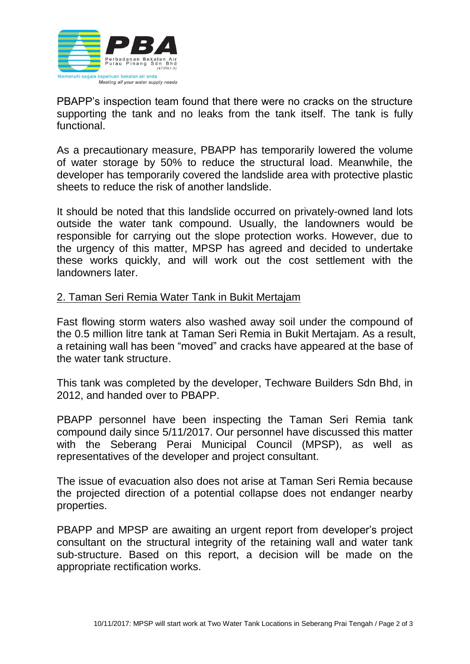

PBAPP's inspection team found that there were no cracks on the structure supporting the tank and no leaks from the tank itself. The tank is fully functional.

As a precautionary measure, PBAPP has temporarily lowered the volume of water storage by 50% to reduce the structural load. Meanwhile, the developer has temporarily covered the landslide area with protective plastic sheets to reduce the risk of another landslide.

It should be noted that this landslide occurred on privately-owned land lots outside the water tank compound. Usually, the landowners would be responsible for carrying out the slope protection works. However, due to the urgency of this matter, MPSP has agreed and decided to undertake these works quickly, and will work out the cost settlement with the landowners later.

#### 2. Taman Seri Remia Water Tank in Bukit Mertajam

Fast flowing storm waters also washed away soil under the compound of the 0.5 million litre tank at Taman Seri Remia in Bukit Mertajam. As a result, a retaining wall has been "moved" and cracks have appeared at the base of the water tank structure.

This tank was completed by the developer, Techware Builders Sdn Bhd, in 2012, and handed over to PBAPP.

PBAPP personnel have been inspecting the Taman Seri Remia tank compound daily since 5/11/2017. Our personnel have discussed this matter with the Seberang Perai Municipal Council (MPSP), as well as representatives of the developer and project consultant.

The issue of evacuation also does not arise at Taman Seri Remia because the projected direction of a potential collapse does not endanger nearby properties.

PBAPP and MPSP are awaiting an urgent report from developer's project consultant on the structural integrity of the retaining wall and water tank sub-structure. Based on this report, a decision will be made on the appropriate rectification works.